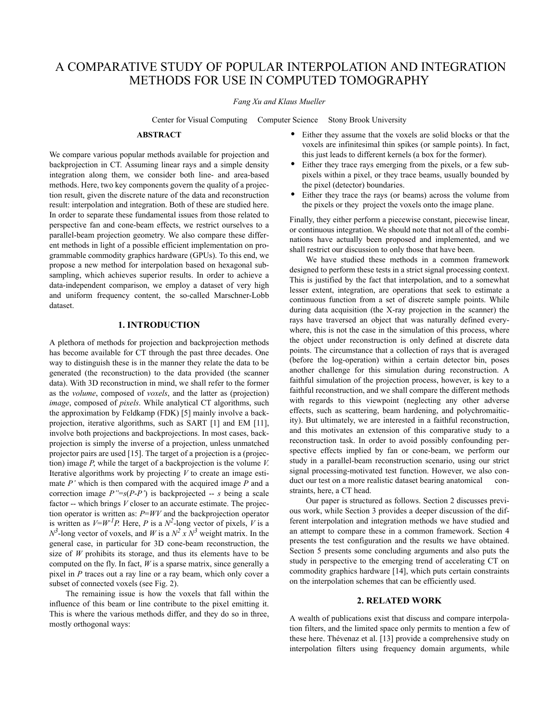# A COMPARATIVE STUDY OF POPULAR INTERPOLATION AND INTEGRATION METHODS FOR USE IN COMPUTED TOMOGRAPHY

#### *Fang Xu and Klaus Mueller*

Center for Visual Computing Computer Science Stony Brook University

#### **ABSTRACT**

We compare various popular methods available for projection and backprojection in CT. Assuming linear rays and a simple density integration along them, we consider both line- and area-based methods. Here, two key components govern the quality of a projection result, given the discrete nature of the data and reconstruction result: interpolation and integration. Both of these are studied here. In order to separate these fundamental issues from those related to perspective fan and cone-beam effects, we restrict ourselves to a parallel-beam projection geometry. We also compare these different methods in light of a possible efficient implementation on programmable commodity graphics hardware (GPUs). To this end, we propose a new method for interpolation based on hexagonal subsampling, which achieves superior results. In order to achieve a data-independent comparison, we employ a dataset of very high and uniform frequency content, the so-called Marschner-Lobb dataset.

## **1. INTRODUCTION**

A plethora of methods for projection and backprojection methods has become available for CT through the past three decades. One way to distinguish these is in the manner they relate the data to be generated (the reconstruction) to the data provided (the scanner data). With 3D reconstruction in mind, we shall refer to the former as the *volume*, composed of *voxels*, and the latter as (projection) *image*, composed of *pixels*. While analytical CT algorithms, such the approximation by Feldkamp (FDK) [5] mainly involve a backprojection, iterative algorithms, such as SART [1] and EM [11], involve both projections and backprojections. In most cases, backprojection is simply the inverse of a projection, unless unmatched projector pairs are used [15]. The target of a projection is a (projection) image *P*, while the target of a backprojection is the volume *V*. Iterative algorithms work by projecting *V* to create an image estimate *P'* which is then compared with the acquired image *P* and a correction image  $P''=s(P-P')$  is backprojected -- *s* being a scale factor -- which brings *V* closer to an accurate estimate. The projection operator is written as: *P*=*WV* and the backprojection operator is written as  $V= W^{-1}P$ . Here, P is a  $N^2$ -long vector of pixels, V is a  $N^3$ -long vector of voxels, and *W* is a  $N^2$  x  $N^3$  weight matrix. In the general case, in particular for 3D cone-beam reconstruction, the size of *W* prohibits its storage, and thus its elements have to be computed on the fly. In fact, *W* is a sparse matrix, since generally a pixel in *P* traces out a ray line or a ray beam, which only cover a subset of connected voxels (see Fig. 2).

The remaining issue is how the voxels that fall within the influence of this beam or line contribute to the pixel emitting it. This is where the various methods differ, and they do so in three, mostly orthogonal ways:

- **•** Either they assume that the voxels are solid blocks or that the voxels are infinitesimal thin spikes (or sample points). In fact, this just leads to different kernels (a box for the former).
- **•** Either they trace rays emerging from the pixels, or a few subpixels within a pixel, or they trace beams, usually bounded by the pixel (detector) boundaries.
- **•** Either they trace the rays (or beams) across the volume from the pixels or they project the voxels onto the image plane.

Finally, they either perform a piecewise constant, piecewise linear, or continuous integration. We should note that not all of the combinations have actually been proposed and implemented, and we shall restrict our discussion to only those that have been.

We have studied these methods in a common framework designed to perform these tests in a strict signal processing context. This is justified by the fact that interpolation, and to a somewhat lesser extent, integration, are operations that seek to estimate a continuous function from a set of discrete sample points. While during data acquisition (the X-ray projection in the scanner) the rays have traversed an object that was naturally defined everywhere, this is not the case in the simulation of this process, where the object under reconstruction is only defined at discrete data points. The circumstance that a collection of rays that is averaged (before the log-operation) within a certain detector bin, poses another challenge for this simulation during reconstruction. A faithful simulation of the projection process, however, is key to a faithful reconstruction, and we shall compare the different methods with regards to this viewpoint (neglecting any other adverse effects, such as scattering, beam hardening, and polychromaiticity). But ultimately, we are interested in a faithful reconstruction, and this motivates an extension of this comparative study to a reconstruction task. In order to avoid possibly confounding perspective effects implied by fan or cone-beam, we perform our study in a parallel-beam reconstruction scenario, using our strict signal processing-motivated test function. However, we also conduct our test on a more realistic dataset bearing anatomical constraints, here, a CT head.

Our paper is structured as follows. Section 2 discusses previous work, while Section 3 provides a deeper discussion of the different interpolation and integration methods we have studied and an attempt to compare these in a common framework. Section 4 presents the test configuration and the results we have obtained. Section 5 presents some concluding arguments and also puts the study in perspective to the emerging trend of accelerating CT on commodity graphics hardware [14], which puts certain constraints on the interpolation schemes that can be efficiently used.

## **2. RELATED WORK**

A wealth of publications exist that discuss and compare interpolation filters, and the limited space only permits to mention a few of these here. Thévenaz et al. [13] provide a comprehensive study on interpolation filters using frequency domain arguments, while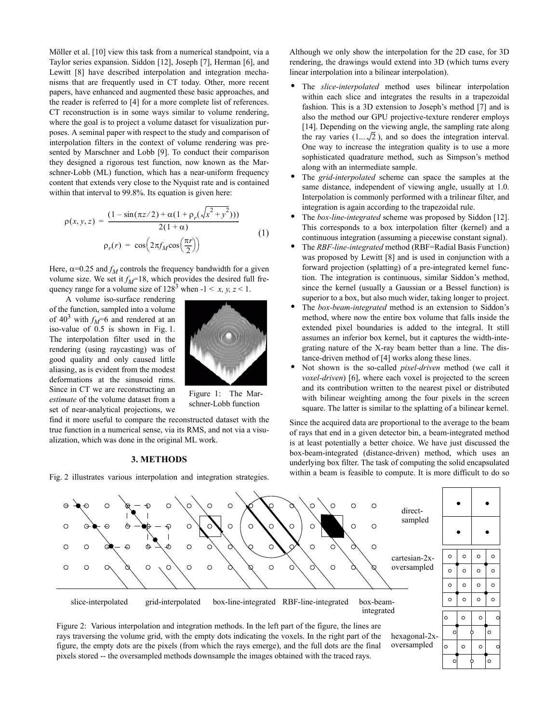Möller et al. [10] view this task from a numerical standpoint, via a Taylor series expansion. Siddon [12], Joseph [7], Herman [6], and Lewitt [8] have described interpolation and integration mechanisms that are frequently used in CT today. Other, more recent papers, have enhanced and augmented these basic approaches, and the reader is referred to [4] for a more complete list of references. CT reconstruction is in some ways similar to volume rendering, where the goal is to project a volume dataset for visualization purposes. A seminal paper with respect to the study and comparison of interpolation filters in the context of volume rendering was presented by Marschner and Lobb [9]. To conduct their comparison they designed a rigorous test function, now known as the Marschner-Lobb (ML) function, which has a near-uniform frequency content that extends very close to the Nyquist rate and is contained within that interval to 99.8%. Its equation is given here:

$$
\rho(x, y, z) = \frac{(1 - \sin(\pi z/2) + \alpha(1 + \rho_r(\sqrt{x^2 + y^2})))}{2(1 + \alpha)}
$$
  
\n
$$
\rho_r(r) = \cos\left(2\pi f_M \cos\left(\frac{\pi r}{2}\right)\right)
$$
\n(1)

Here,  $\alpha$ =0.25 and  $f_M$  controls the frequency bandwidth for a given volume size. We set it  $f_M$ =18, which provides the desired full frequency range for a volume size of  $128^3$  when  $-1 \le x, y, z \le 1$ .

A volume iso-surface rendering of the function, sampled into a volume of  $40^3$  with  $f_M$ =6 and rendered at an iso-value of 0.5 is shown in Fig. 1. The interpolation filter used in the rendering (using raycasting) was of good quality and only caused little aliasing, as is evident from the modest deformations at the sinusoid rims. Since in CT we are reconstructing an *estimate* of the volume dataset from a set of near-analytical projections, we



Figure 1: The Marschner-Lobb function

find it more useful to compare the reconstructed dataset with the true function in a numerical sense, via its RMS, and not via a visualization, which was done in the original ML work.

## **3. METHODS**

Fig. 2 illustrates various interpolation and integration strategies.

Although we only show the interpolation for the 2D case, for 3D rendering, the drawings would extend into 3D (which turns every linear interpolation into a bilinear interpolation).

- **•** The *slice-interpolated* method uses bilinear interpolation within each slice and integrates the results in a trapezoidal fashion. This is a 3D extension to Joseph's method [7] and is also the method our GPU projective-texture renderer employs [14]. Depending on the viewing angle, the sampling rate along the ray varies  $(1...\sqrt{2})$ , and so does the integration interval. One way to increase the integration quality is to use a more sophisticated quadrature method, such as Simpson's method along with an intermediate sample.
- **•** The *grid-interpolated* scheme can space the samples at the same distance, independent of viewing angle, usually at 1.0. Interpolation is commonly performed with a trilinear filter, and integration is again according to the trapezoidal rule.
- **•** The *box-line-integrated* scheme was proposed by Siddon [12]. This corresponds to a box interpolation filter (kernel) and a continuous integration (assuming a piecewise constant signal).
- **•** The *RBF-line-integrated* method (RBF=Radial Basis Function) was proposed by Lewitt [8] and is used in conjunction with a forward projection (splatting) of a pre-integrated kernel function. The integration is continuous, similar Siddon's method, since the kernel (usually a Gaussian or a Bessel function) is superior to a box, but also much wider, taking longer to project.
- **•** The *box-beam-integrated* method is an extension to Siddon's method, where now the entire box volume that falls inside the extended pixel boundaries is added to the integral. It still assumes an inferior box kernel, but it captures the width-integrating nature of the X-ray beam better than a line. The distance-driven method of [4] works along these lines.
- **•** Not shown is the so-called *pixel-driven* method (we call it *voxel-driven*) [6], where each voxel is projected to the screen and its contribution written to the nearest pixel or distributed with bilinear weighting among the four pixels in the screen square. The latter is similar to the splatting of a bilinear kernel.

Since the acquired data are proportional to the average to the beam of rays that end in a given detector bin, a beam-integrated method is at least potentially a better choice. We have just discussed the box-beam-integrated (distance-driven) method, which uses an underlying box filter. The task of computing the solid encapsulated within a beam is feasible to compute. It is more difficult to do so



figure, the empty dots are the pixels (from which the rays emerge), and the full dots are the final pixels stored -- the oversampled methods downsample the images obtained with the traced rays.

oversampled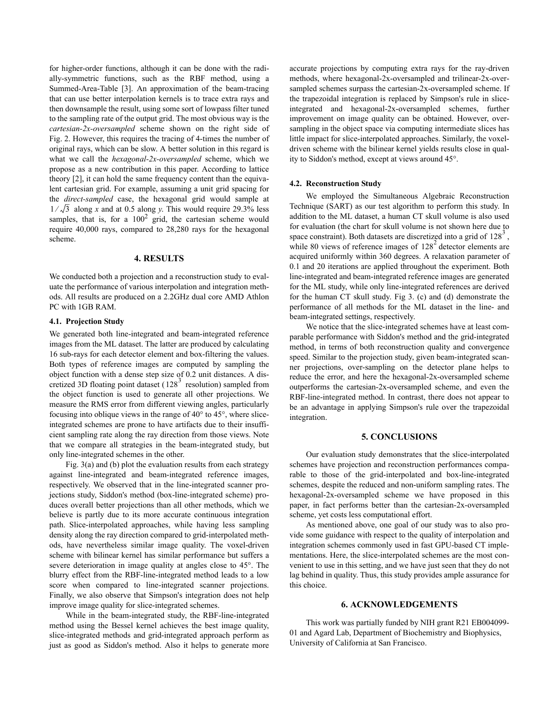for higher-order functions, although it can be done with the radially-symmetric functions, such as the RBF method, using a Summed-Area-Table [3]. An approximation of the beam-tracing that can use better interpolation kernels is to trace extra rays and then downsample the result, using some sort of lowpass filter tuned to the sampling rate of the output grid. The most obvious way is the *cartesian-2x-oversampled* scheme shown on the right side of Fig. 2. However, this requires the tracing of 4-times the number of original rays, which can be slow. A better solution in this regard is what we call the *hexagonal-2x-oversampled* scheme, which we propose as a new contribution in this paper. According to lattice theory [2], it can hold the same frequency content than the equivalent cartesian grid. For example, assuming a unit grid spacing for the *direct-sampled* case, the hexagonal grid would sample at  $1/\sqrt{3}$  along x and at 0.5 along y. This would require 29.3% less samples, that is, for a  $100^2$  grid, the cartesian scheme would require 40,000 rays, compared to 28,280 rays for the hexagonal scheme.

# **4. RESULTS**

We conducted both a projection and a reconstruction study to evaluate the performance of various interpolation and integration methods. All results are produced on a 2.2GHz dual core AMD Athlon PC with 1GB RAM.

## **4.1. Projection Study**

We generated both line-integrated and beam-integrated reference images from the ML dataset. The latter are produced by calculating 16 sub-rays for each detector element and box-filtering the values. Both types of reference images are computed by sampling the object function with a dense step size of 0.2 unit distances. A discretized 3D floating point dataset ( $128<sup>3</sup>$  resolution) sampled from the object function is used to generate all other projections. We measure the RMS error from different viewing angles, particularly focusing into oblique views in the range of 40° to 45°, where sliceintegrated schemes are prone to have artifacts due to their insufficient sampling rate along the ray direction from those views. Note that we compare all strategies in the beam-integrated study, but only line-integrated schemes in the other.

Fig. 3(a) and (b) plot the evaluation results from each strategy against line-integrated and beam-integrated reference images, respectively. We observed that in the line-integrated scanner projections study, Siddon's method (box-line-integrated scheme) produces overall better projections than all other methods, which we believe is partly due to its more accurate continuous integration path. Slice-interpolated approaches, while having less sampling density along the ray direction compared to grid-interpolated methods, have nevertheless similar image quality. The voxel-driven scheme with bilinear kernel has similar performance but suffers a severe deterioration in image quality at angles close to 45°. The blurry effect from the RBF-line-integrated method leads to a low score when compared to line-integrated scanner projections. Finally, we also observe that Simpson's integration does not help improve image quality for slice-integrated schemes.

While in the beam-integrated study, the RBF-line-integrated method using the Bessel kernel achieves the best image quality, slice-integrated methods and grid-integrated approach perform as just as good as Siddon's method. Also it helps to generate more accurate projections by computing extra rays for the ray-driven methods, where hexagonal-2x-oversampled and trilinear-2x-oversampled schemes surpass the cartesian-2x-oversampled scheme. If the trapezoidal integration is replaced by Simpson's rule in sliceintegrated and hexagonal-2x-oversampled schemes, further improvement on image quality can be obtained. However, oversampling in the object space via computing intermediate slices has little impact for slice-interpolated approaches. Similarly, the voxeldriven scheme with the bilinear kernel yields results close in quality to Siddon's method, except at views around 45°.

#### **4.2. Reconstruction Study**

We employed the Simultaneous Algebraic Reconstruction Technique (SART) as our test algorithm to perform this study. In addition to the ML dataset, a human CT skull volume is also used for evaluation (the chart for skull volume is not shown here due to space constraint). Both datasets are discretized into a grid of  $128<sup>3</sup>$ , while 80 views of reference images of  $128^2$  detector elements are acquired uniformly within 360 degrees. A relaxation parameter of 0.1 and 20 iterations are applied throughout the experiment. Both line-integrated and beam-integrated reference images are generated for the ML study, while only line-integrated references are derived for the human CT skull study. Fig 3. (c) and (d) demonstrate the performance of all methods for the ML dataset in the line- and beam-integrated settings, respectively.

We notice that the slice-integrated schemes have at least comparable performance with Siddon's method and the grid-integrated method, in terms of both reconstruction quality and convergence speed. Similar to the projection study, given beam-integrated scanner projections, over-sampling on the detector plane helps to reduce the error, and here the hexagonal-2x-oversampled scheme outperforms the cartesian-2x-oversampled scheme, and even the RBF-line-integrated method. In contrast, there does not appear to be an advantage in applying Simpson's rule over the trapezoidal integration.

# **5. CONCLUSIONS**

Our evaluation study demonstrates that the slice-interpolated schemes have projection and reconstruction performances comparable to those of the grid-interpolated and box-line-integrated schemes, despite the reduced and non-uniform sampling rates. The hexagonal-2x-oversampled scheme we have proposed in this paper, in fact performs better than the cartesian-2x-oversampled scheme, yet costs less computational effort.

As mentioned above, one goal of our study was to also provide some guidance with respect to the quality of interpolation and integration schemes commonly used in fast GPU-based CT implementations. Here, the slice-interpolated schemes are the most convenient to use in this setting, and we have just seen that they do not lag behind in quality. Thus, this study provides ample assurance for this choice.

## **6. ACKNOWLEDGEMENTS**

This work was partially funded by NIH grant R21 EB004099- 01 and Agard Lab, Department of Biochemistry and Biophysics, University of California at San Francisco.